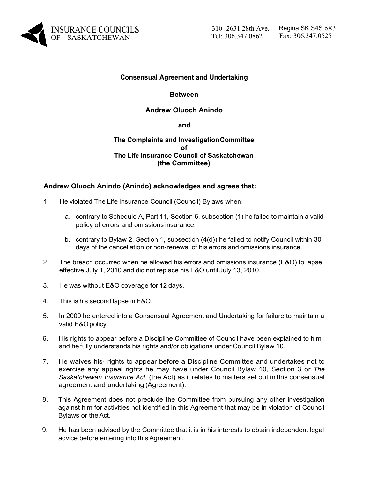

# **Consensual Agreement and Undertaking**

#### **Between**

## **Andrew Oluoch Anindo**

#### **and**

# **The Complaints and InvestigationCommittee of The Life Insurance Council of Saskatchewan (the Committee)**

# **Andrew Oluoch Anindo (Anindo) acknowledges and agrees that:**

- 1. He violated The Life Insurance Council (Council) Bylaws when:
	- a. contrary to Schedule A, Part 11, Section 6, subsection (1) he failed to maintain a valid policy of errors and omissions insurance.
	- b. contrary to Bylaw 2, Section 1, subsection (4(d)) he failed to notify Council within 30 days of the cancellation or non-renewal of his errors and omissions insurance.
- 2. The breach occurred when he allowed his errors and omissions insurance (E&O) to lapse effective July 1, 2010 and did not replace his E&O until July 13, 2010.
- 3. He was without E&O coverage for 12 days.
- 4. This is his second lapse in E&O.
- 5. In 2009 he entered into a Consensual Agreement and Undertaking for failure to maintain a valid E&Opolicy.
- 6. His rights to appear before a Discipline Committee of Council have been explained to him and he fully understands his rights and/or obligations under Council Bylaw 10.
- 7. He waives his· rights to appear before a Discipline Committee and undertakes not to exercise any appeal rights he may have under Council Bylaw 10, Section 3 or *The Saskatchewan Insurance Act,* (the Act) as it relates to matters set out in this consensual agreement and undertaking (Agreement).
- 8. This Agreement does not preclude the Committee from pursuing any other investigation against him for activities not identified in this Agreement that may be in violation of Council Bylaws or the Act.
- 9. He has been advised by the Committee that it is in his interests to obtain independent legal advice before entering into this Agreement.